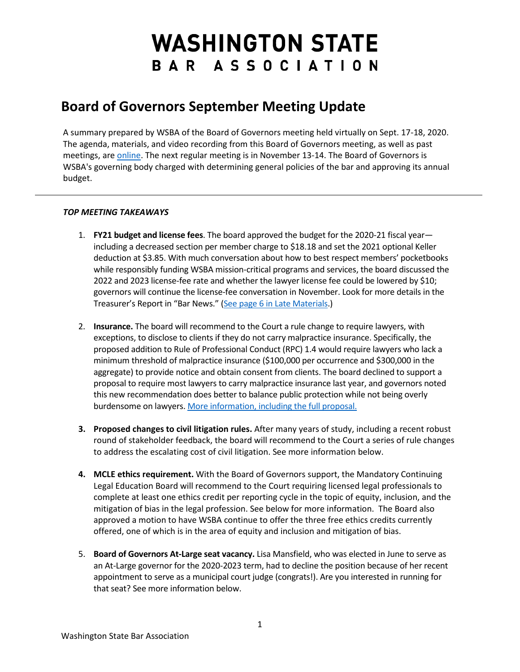## **WASHINGTON STATE** BAR ASSOCIATION

## **Board of Governors September Meeting Update**

A summary prepared by WSBA of the Board of Governors meeting held virtually on Sept. 17-18, 2020. The agenda, materials, and video recording from this Board of Governors meeting, as well as past meetings, ar[e online.](http://wsba.informz.net/z/cjUucD9taT0yNzQ4MDM1JnA9MSZ1PTM2NjYyNTYyOSZsaT0yMDUzNTI4OA/index.html) The next regular meeting is in November 13-14. The Board of Governors is WSBA's governing body charged with determining general policies of the bar and approving its annual budget.

## *TOP MEETING TAKEAWAYS*

- 1. **FY21 budget and license fees**. The board approved the budget for the 2020-21 fiscal year including a decreased section per member charge to \$18.18 and set the 2021 optional Keller deduction at \$3.85. With much conversation about how to best respect members' pocketbooks while responsibly funding WSBA mission-critical programs and services, the board discussed the 2022 and 2023 license-fee rate and whether the lawyer license fee could be lowered by \$10; governors will continue the license-fee conversation in November. Look for more details in the Treasurer's Report in "Bar News." [\(See page 6 in Late Materials.](https://www.wsba.org/docs/default-source/about-wsba/governance/bog-meeting-materials-2019-2020/board-of-governors-meeting-late-materials-july-2020.pdf?sfvrsn=b5e708f1_4))
- 2. **Insurance.** The board will recommend to the Court a rule change to require lawyers, with exceptions, to disclose to clients if they do not carry malpractice insurance. Specifically, the proposed addition to Rule of Professional Conduct (RPC) 1.4 would require lawyers who lack a minimum threshold of malpractice insurance (\$100,000 per occurrence and \$300,000 in the aggregate) to provide notice and obtain consent from clients. The board declined to support a proposal to require most lawyers to carry malpractice insurance last year, and governors noted this new recommendation does better to balance public protection while not being overly burdensome on lawyers. [More information, including the full proposal.](https://www.wsba.org/news-events/latest-news/news-detail/2020/09/04/malpractice-insurance-disclosure)
- **3. Proposed changes to civil litigation rules.** After many years of study, including a recent robust round of stakeholder feedback, the board will recommend to the Court a series of rule changes to address the escalating cost of civil litigation. See more information below.
- **4. MCLE ethics requirement.** With the Board of Governors support, the Mandatory Continuing Legal Education Board will recommend to the Court requiring licensed legal professionals to complete at least one ethics credit per reporting cycle in the topic of equity, inclusion, and the mitigation of bias in the legal profession. See below for more information. The Board also approved a motion to have WSBA continue to offer the three free ethics credits currently offered, one of which is in the area of equity and inclusion and mitigation of bias.
- 5. **Board of Governors At-Large seat vacancy.** Lisa Mansfield, who was elected in June to serve as an At-Large governor for the 2020-2023 term, had to decline the position because of her recent appointment to serve as a municipal court judge (congrats!). Are you interested in running for that seat? See more information below.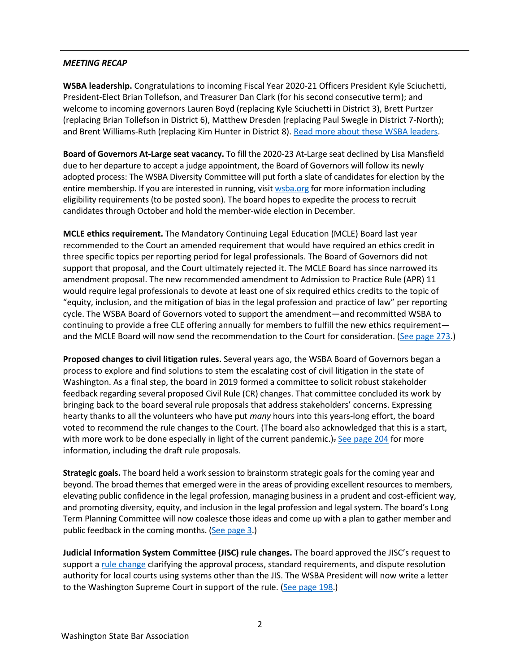## *MEETING RECAP*

**WSBA leadership.** Congratulations to incoming Fiscal Year 2020-21 Officers President Kyle Sciuchetti, President-Elect Brian Tollefson, and Treasurer Dan Clark (for his second consecutive term); and welcome to incoming governors Lauren Boyd (replacing Kyle Sciuchetti in District 3), Brett Purtzer (replacing Brian Tollefson in District 6), Matthew Dresden (replacing Paul Swegle in District 7-North); and Brent Williams-Ruth (replacing Kim Hunter in District 8). [Read more about these WSBA leaders.](https://www.wsba.org/about-wsba/who-we-are/board-of-governors/governor-bios)

**Board of Governors At-Large seat vacancy.** To fill the 2020-23 At-Large seat declined by Lisa Mansfield due to her departure to accept a judge appointment, the Board of Governors will follow its newly adopted process: The WSBA Diversity Committee will put forth a slate of candidates for election by the entire membership. If you are interested in running, visit [wsba.org](https://www.wsba.org/about-wsba/who-we-are/board-elections) for more information including eligibility requirements (to be posted soon). The board hopes to expedite the process to recruit candidates through October and hold the member-wide election in December.

**MCLE ethics requirement.** The Mandatory Continuing Legal Education (MCLE) Board last year recommended to the Court an amended requirement that would have required an ethics credit in three specific topics per reporting period for legal professionals. The Board of Governors did not support that proposal, and the Court ultimately rejected it. The MCLE Board has since narrowed its amendment proposal. The new recommended amendment to Admission to Practice Rule (APR) 11 would require legal professionals to devote at least one of six required ethics credits to the topic of "equity, inclusion, and the mitigation of bias in the legal profession and practice of law" per reporting cycle. The WSBA Board of Governors voted to support the amendment—and recommitted WSBA to continuing to provide a free CLE offering annually for members to fulfill the new ethics requirement and the MCLE Board will now send the recommendation to the Court for consideration. [\(See page 273.](https://www.wsba.org/docs/default-source/about-wsba/governance/bog-meeting-materials-2019-2020/board-of-governors-meeting-materials-september-2020.pdf?sfvrsn=aad20bf1_6))

**Proposed changes to civil litigation rules.** Several years ago, the WSBA Board of Governors began a process to explore and find solutions to stem the escalating cost of civil litigation in the state of Washington. As a final step, the board in 2019 formed a committee to solicit robust stakeholder feedback regarding several proposed Civil Rule (CR) changes. That committee concluded its work by bringing back to the board several rule proposals that address stakeholders' concerns. Expressing hearty thanks to all the volunteers who have put *many* hours into this years-long effort, the board voted to recommend the rule changes to the Court. (The board also acknowledged that this is a start, with more work to be done especially in light of the current pandemic.). [See page 204](https://www.wsba.org/docs/default-source/about-wsba/governance/bog-meeting-materials-2019-2020/board-of-governors-meeting-materials-september-2020.pdf?sfvrsn=aad20bf1_6) for more information, including the draft rule proposals.

**Strategic goals.** The board held a work session to brainstorm strategic goals for the coming year and beyond. The broad themes that emerged were in the areas of providing excellent resources to members, elevating public confidence in the legal profession, managing business in a prudent and cost-efficient way, and promoting diversity, equity, and inclusion in the legal profession and legal system. The board's Long Term Planning Committee will now coalesce those ideas and come up with a plan to gather member and public feedback in the coming months. [\(See page 3.](https://www.wsba.org/docs/default-source/about-wsba/governance/bog-meeting-materials-2019-2020/board-of-governors-late-late-materials-september-2020.pdf?sfvrsn=78f30bf1_4))

**Judicial Information System Committee (JISC) rule changes.** The board approved the JISC's request to support [a rule change](http://www.courts.wa.gov/court_rules/?fa=court_rules.proposedRuleDisplay&ruleId=4775) clarifying the approval process, standard requirements, and dispute resolution authority for local courts using systems other than the JIS. The WSBA President will now write a letter to the Washington Supreme Court in support of the rule. [\(See page 198.](https://www.wsba.org/docs/default-source/about-wsba/governance/bog-meeting-materials-2019-2020/board-of-governors-meeting-materials-september-2020.pdf?sfvrsn=aad20bf1_6))